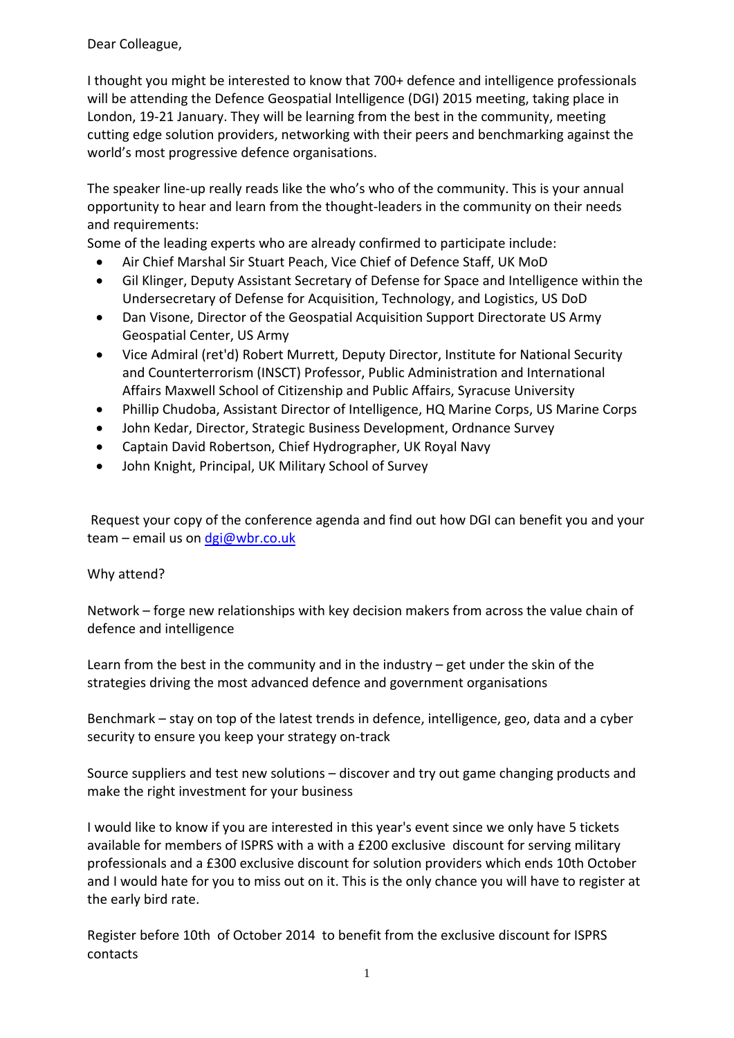Dear Colleague,

I thought you might be interested to know that 700+ defence and intelligence professionals will be attending the Defence Geospatial Intelligence (DGI) 2015 meeting, taking place in London, 19-21 January. They will be learning from the best in the community, meeting cutting edge solution providers, networking with their peers and benchmarking against the world's most progressive defence organisations.

The speaker line-up really reads like the who's who of the community. This is your annual opportunity to hear and learn from the thought-leaders in the community on their needs and requirements:

Some of the leading experts who are already confirmed to participate include:

- Air Chief Marshal Sir Stuart Peach, Vice Chief of Defence Staff, UK MoD
- Gil Klinger, Deputy Assistant Secretary of Defense for Space and Intelligence within the Undersecretary of Defense for Acquisition, Technology, and Logistics, US DoD
- Dan Visone, Director of the Geospatial Acquisition Support Directorate US Army Geospatial Center, US Army
- Vice Admiral (ret'd) Robert Murrett, Deputy Director, Institute for National Security and Counterterrorism (INSCT) Professor, Public Administration and International Affairs Maxwell School of Citizenship and Public Affairs, Syracuse University
- Phillip Chudoba, Assistant Director of Intelligence, HQ Marine Corps, US Marine Corps
- John Kedar, Director, Strategic Business Development, Ordnance Survey
- Captain David Robertson, Chief Hydrographer, UK Royal Navy
- John Knight, Principal, UK Military School of Survey

Request your copy of the conference agenda and find out how DGI can benefit you and your team – email us on [dgi@wbr.co.uk](mailto:dgi@wbr.co.uk)

## Why attend?

Network – forge new relationships with key decision makers from across the value chain of defence and intelligence

Learn from the best in the community and in the industry  $-$  get under the skin of the strategies driving the most advanced defence and government organisations

Benchmark – stay on top of the latest trends in defence, intelligence, geo, data and a cyber security to ensure you keep your strategy on-track

Source suppliers and test new solutions – discover and try out game changing products and make the right investment for your business

I would like to know if you are interested in this year's event since we only have 5 tickets available for members of ISPRS with a with a £200 exclusive discount for serving military professionals and a £300 exclusive discount for solution providers which ends 10th October and I would hate for you to miss out on it. This is the only chance you will have to register at the early bird rate.

Register before 10th of October 2014 to benefit from the exclusive discount for ISPRS contacts